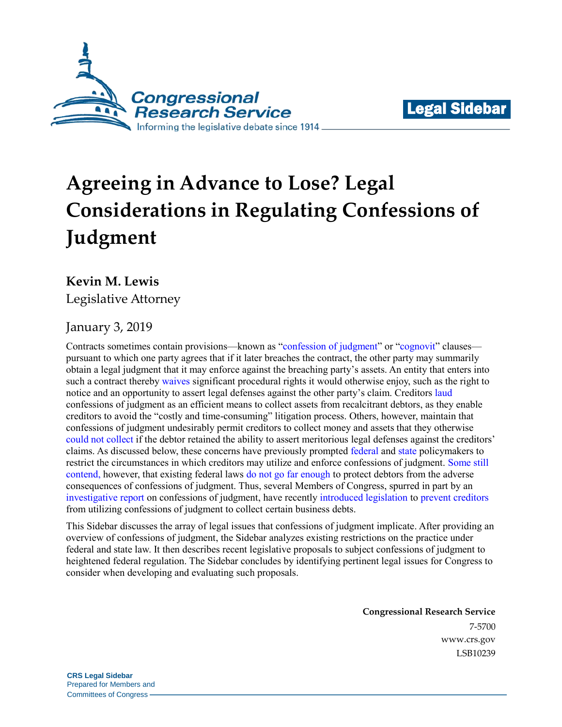



# **Agreeing in Advance to Lose? Legal Considerations in Regulating Confessions of Judgment**

## **Kevin M. Lewis**

Legislative Attorney

## January 3, 2019

Contracts sometimes contain provisions—known as ["confession of judgment"](http://www.crs.gov/products/Documents/Dictionary_Confession_of_Judgment/pdf) or ["cognovit"](http://www.crs.gov/products/Documents/Blacks_Law_Dictionary/pdf) clauses pursuant to which one party agrees that if it later breaches the contract, the other party may summarily obtain a legal judgment that it may enforce against the breaching party's assets. An entity that enters into such a contract thereby [waives](https://supreme.justia.com/cases/federal/us/405/174/) significant procedural rights it would otherwise enjoy, such as the right to notice and an opportunity to assert legal defenses against the other party's claim. Creditors [laud](http://www.crs.gov/products/Documents/YOUVE_GOTA_CONFESSION/pdf) confessions of judgment as an efficient means to collect assets from recalcitrant debtors, as they enable creditors to avoid the "costly and time-consuming" litigation process. Others, however, maintain that confessions of judgment undesirably permit creditors to collect money and assets that they otherwise [could not collect](https://www.bloomberg.com/graphics/2018-confessions-of-judgment/) if the debtor retained the ability to assert meritorious legal defenses against the creditors' claims. As discussed below, these concerns have previously prompted [federal](https://www.ftc.gov/tips-advice/business-center/guidance/complying-credit-practices-rule) and [state](https://codes.findlaw.com/in/title-34-civil-law-and-procedure/in-code-sect-34-54-4-1.html) policymakers to restrict the circumstances in which creditors may utilize and enforce confessions of judgment. [Some still](https://www.rubio.senate.gov/public/index.cfm/press-releases?ID=86D0D5F2-3410-409B-AE4A-B52ACBC5C5A9)  [contend,](https://www.rubio.senate.gov/public/index.cfm/press-releases?ID=86D0D5F2-3410-409B-AE4A-B52ACBC5C5A9) however, that existing federal laws [do not go far enough](https://www.brown.senate.gov/newsroom/press/release/brown-and-rubio-announce-legislation-to-protect-small-businesses-from-predatory-lenders) to protect debtors from the adverse consequences of confessions of judgment. Thus, several Members of Congress, spurred in part by an [investigative report](https://www.bloomberg.com/graphics/2018-confessions-of-judgment/) on confessions of judgment, have recently [introduced legislation](https://www.congress.gov/bill/115th-congress/senate-bill/3717/text) to prevent [creditors](https://www.congress.gov/bill/115th-congress/house-bill/7354/text) from utilizing confessions of judgment to collect certain business debts.

This Sidebar discusses the array of legal issues that confessions of judgment implicate. After providing an overview of confessions of judgment, the Sidebar analyzes existing restrictions on the practice under federal and state law. It then describes recent legislative proposals to subject confessions of judgment to heightened federal regulation. The Sidebar concludes by identifying pertinent legal issues for Congress to consider when developing and evaluating such proposals.

> **Congressional Research Service** 7-5700 [www.crs.gov](http://www.crs.gov/) LSB10239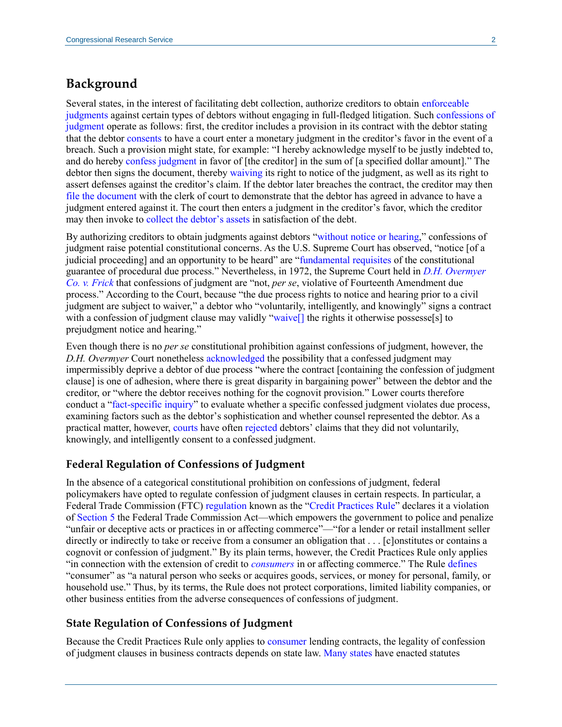## **Background**

Several states, in the interest of facilitating debt collection, authorize creditors to obtain [enforceable](http://www.crs.gov/products/Documents/YOUVE_GOTA_CONFESSION/pdf#page=1)  [judgments](http://www.crs.gov/products/Documents/YOUVE_GOTA_CONFESSION/pdf#page=1) against certain types of debtors without engaging in full-fledged litigation. Such [confessions of](http://www.crs.gov/products/Documents/CONFESSIONS_OF_JUDGMENT/pdf)  [judgment](http://www.crs.gov/products/Documents/CONFESSIONS_OF_JUDGMENT/pdf) operate as follows: first, the creditor includes a provision in its contract with the debtor stating that the debtor [consents](https://www.ftc.gov/tips-advice/business-center/guidance/complying-credit-practices-rule) to have a court enter a monetary judgment in the creditor's favor in the event of a breach. Such a provision might state, for example: "I hereby acknowledge myself to be justly indebted to, and do hereby [confess judgment](https://law.lis.virginia.gov/vacode/title8.01/chapter17/section8.01-436/) in favor of [the creditor] in the sum of [a specified dollar amount]." The debtor then signs the document, thereby [waiving](https://www.ftc.gov/tips-advice/business-center/guidance/complying-credit-practices-rule) its right to notice of the judgment, as well as its right to assert defenses against the creditor's claim. If the debtor later breaches the contract, the creditor may then [file the document](https://law.justia.com/codes/new-york/2012/cvp/article-32/3218/) with the clerk of court to demonstrate that the debtor has agreed in advance to have a judgment entered against it. The court then enters a judgment in the creditor's favor, which the creditor may then invoke to [collect the debtor's assets](https://www.bloomberg.com/graphics/2018-confessions-of-judgment/) in satisfaction of the debt.

By authorizing creditors to obtain judgments against debtors ["without notice or hearing,](https://supreme.justia.com/cases/federal/us/405/174/)" confessions of judgment raise potential constitutional concerns. As the U.S. Supreme Court has observed, "notice [of a judicial proceeding] and an opportunity to be heard" are ["fundamental requisites](https://supreme.justia.com/cases/federal/us/417/156/) of the constitutional guarantee of procedural due process." Nevertheless, in 1972, the Supreme Court held in *[D.H. Overmyer](https://supreme.justia.com/cases/federal/us/405/174/)  [Co. v. Frick](https://supreme.justia.com/cases/federal/us/405/174/)* that confessions of judgment are "not, *per se*, violative of Fourteenth Amendment due process." According to the Court, because "the due process rights to notice and hearing prior to a civil judgment are subject to waiver," a debtor who "voluntarily, intelligently, and knowingly" signs a contract with a confession of judgment clause may validly "waive<sup>[]</sup> the rights it otherwise possesse<sup>[s]</sup> to prejudgment notice and hearing."

Even though there is no *per se* constitutional prohibition against confessions of judgment, however, the *D.H. Overmyer* Court nonetheles[s acknowledged](https://supreme.justia.com/cases/federal/us/405/174/) the possibility that a confessed judgment may impermissibly deprive a debtor of due process "where the contract [containing the confession of judgment clause] is one of adhesion, where there is great disparity in bargaining power" between the debtor and the creditor, or "where the debtor receives nothing for the cognovit provision." Lower courts therefore conduct a ["fact-specific inquiry"](https://law.justia.com/cases/new-york/court-of-appeals/1991/78-n-y-2d-572-0.html) to evaluate whether a specific confessed judgment violates due process, examining factors such as the debtor's sophistication and whether counsel represented the debtor. As a practical matter, however, [courts](https://www.azcourts.gov/Portals/0/OpinionFiles/Div1/2018/1%20CA-CV%2018-0092.pdf#page=4) have often [rejected](https://law.justia.com/cases/new-york/court-of-appeals/1991/78-n-y-2d-572-0.html) debtors' claims that they did not voluntarily, knowingly, and intelligently consent to a confessed judgment.

#### **Federal Regulation of Confessions of Judgment**

In the absence of a categorical constitutional prohibition on confessions of judgment, federal policymakers have opted to regulate confession of judgment clauses in certain respects. In particular, [a](https://www.law.cornell.edu/cfr/text/16/444.2) [Federal Trade Commission \(FTC\) regulation](https://www.law.cornell.edu/cfr/text/16/444.2) known as the ["Credit Practices Rule"](https://www.ftc.gov/tips-advice/business-center/guidance/complying-credit-practices-rule) declares it a violation of [Section 5](https://www.law.cornell.edu/uscode/text/15/45) the Federal Trade Commission Act—which empowers the government to police and penalize "unfair or deceptive acts or practices in or affecting commerce"—"for a lender or retail installment seller directly or indirectly to take or receive from a consumer an obligation that . . . [c]onstitutes or contains a cognovit or confession of judgment." By its plain terms, however, the Credit Practices Rule only applies "in connection with the extension of credit to *[consumers](https://www.law.cornell.edu/cfr/text/16/444.2)* in or affecting commerce." The Rule [defines](https://www.law.cornell.edu/cfr/text/16/444.1) "consumer" as "a natural person who seeks or acquires goods, services, or money for personal, family, or household use." Thus, by its terms, the Rule does not protect corporations, limited liability companies, or other business entities from the adverse consequences of confessions of judgment.

#### **State Regulation of Confessions of Judgment**

Because the Credit Practices Rule only applies to [consumer](https://www.law.cornell.edu/cfr/text/16/444.2) lending contracts, the legality of confession of judgment clauses in business contracts depends on state law. [Many states](https://law.justia.com/codes/alabama/2016/title-8/chapter-9/section-8-9-11/) have enacted statutes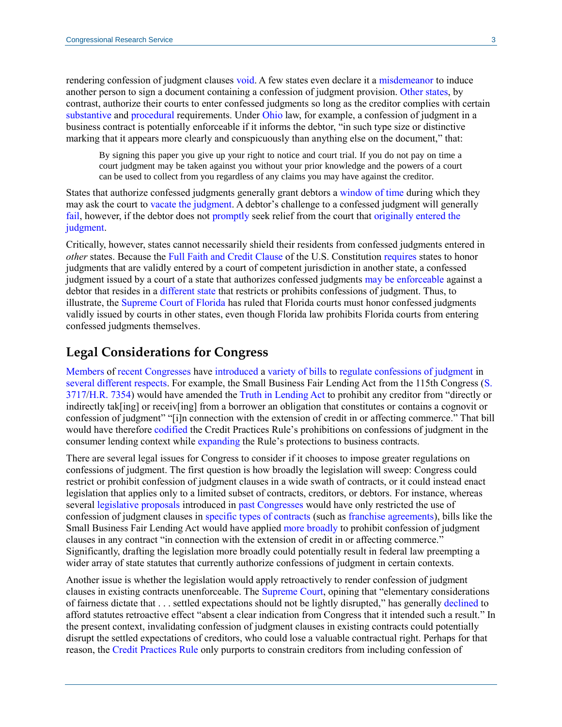rendering confession of judgment clauses [void.](https://malegislature.gov/Laws/GeneralLaws/PartIII/TitleII/Chapter231/Section13A) A few states even declare it a [misdemeanor](https://codes.findlaw.com/in/title-34-civil-law-and-procedure/in-code-sect-34-54-4-1.html) to induce another person to sign a document containing a confession of judgment provision. [Other states,](https://law.lis.virginia.gov/vacode/title8.01/chapter17/section8.01-432/) by contrast, authorize their courts to enter confessed judgments so long as the creditor complies with certain [substantive](http://www.crs.gov/products/Documents/YOUVE_GOTA_CONFESSION/pdf#page=2) and [procedura](https://law.justia.com/codes/new-york/2012/cvp/article-32/3218/)l requirements. Under [Ohio](http://codes.ohio.gov/orc/2323.13v1) law, for example, a confession of judgment in a business contract is potentially enforceable if it informs the debtor, "in such type size or distinctive marking that it appears more clearly and conspicuously than anything else on the document," that:

By signing this paper you give up your right to notice and court trial. If you do not pay on time a court judgment may be taken against you without your prior knowledge and the powers of a court can be used to collect from you regardless of any claims you may have against the creditor.

States that authorize confessed judgments generally grant debtors a [window of time](https://law.lis.virginia.gov/vacode/title8.01/chapter17/section8.01-433/) during which they may ask the court to vacate [the judgment.](https://www.pacode.com/secure/data/231/chapter2950/s2959.html) A debtor's challenge to a confessed judgment will generally [fail,](http://www.supremecourt.ohio.gov/rod/docs/pdf/8/2018/2018-Ohio-495.pdf#page=7) however, if the debtor does not [promptly](http://www.crs.gov/products/Documents/Zhang/pdf#page=6) seek relief from the court that originally entered the [judgment.](http://www.crs.gov/products/Documents/Ewing/pdf#page=8)

Critically, however, states cannot necessarily shield their residents from confessed judgments entered in *other* states. Because the [Full Faith and Credit Clause](https://www.congress.gov/content/conan/pdf/GPO-CONAN-2017-9-5.pdf#page=3) of the U.S. Constitution [requires](http://www.crs.gov/products/Documents/Trauger/pdf#page=2) states to honor judgments that are validly entered by a court of competent jurisdiction in another state, a confessed judgment issued by a court of a state that authorizes confessed judgments may [be enforceable](http://www.crs.gov/products/Documents/Trauger/pdf#page=2) against a debtor that resides in a [different](http://www.crs.gov/products/Documents/EBF_Partners/pdf#page=2) state that restricts or prohibits confessions of judgment. Thus, to illustrate, the [Supreme Court of Florida](http://www.crs.gov/products/Documents/Trauger/pdf#page=2) has ruled that Florida courts must honor confessed judgments validly issued by courts in other states, even though Florida law prohibits Florida courts from entering confessed judgments themselves.

### **Legal Considerations for Congress**

[Members](https://www.congress.gov/bill/115th-congress/senate-bill/3717) of [recent Congresses](https://www.congress.gov/bill/115th-congress/house-bill/7354) have [introduced](https://www.congress.gov/111/bills/hr5387/BILLS-111hr5387ih.pdf#page=17) [a variety of bills](https://www.congress.gov/113/bills/hr1551/BILLS-113hr1551ih.pdf#page=19) to [regulate confessions of judgment](https://www.congress.gov/111/bills/hr1214/BILLS-111hr1214ih.pdf#page=11) in [several different respects.](https://www.congress.gov/105/bills/hr1083/BILLS-105hr1083ih.pdf#page=15) For example, the Small Business Fair Lending Act from the 115th Congress [\(S.](https://www.congress.gov/bill/115th-congress/senate-bill/3717/text)  [3717](https://www.congress.gov/bill/115th-congress/senate-bill/3717/text)[/H.R. 7354\)](https://www.congress.gov/bill/115th-congress/house-bill/7354/text) would have amended the [Truth in Lending Act](https://www.law.cornell.edu/uscode/text/15/chapter-41/subchapter-I/part-B) to prohibit any creditor from "directly or indirectly tak[ing] or receiv[ing] from a borrower an obligation that constitutes or contains a cognovit or confession of judgment" "[i]n connection with the extension of credit in or affecting commerce." That bill would have therefore [codified](https://www.brown.senate.gov/newsroom/press/release/brown-and-rubio-announce-legislation-to-protect-small-businesses-from-predatory-lenders) the Credit Practices Rule's prohibitions on confessions of judgment in the consumer lending context while [expanding](https://www.rubio.senate.gov/public/index.cfm/press-releases?ID=86D0D5F2-3410-409B-AE4A-B52ACBC5C5A9) the Rule's protections to business contracts.

There are several legal issues for Congress to consider if it chooses to impose greater regulations on confessions of judgment. The first question is how broadly the legislation will sweep: Congress could restrict or prohibit confession of judgment clauses in a wide swath of contracts, or it could instead enact legislation that applies only to a limited subset of contracts, creditors, or debtors. For instance, whereas several [legislative proposals](https://www.congress.gov/111/bills/hr5387/BILLS-111hr5387ih.pdf#page=17) introduced in [past Congresses](https://www.congress.gov/111/bills/hr1214/BILLS-111hr1214ih.pdf#page=11) would have only restricted the use of confession of judgment clauses in specific [types of contracts](https://www.congress.gov/113/bills/hr1551/BILLS-113hr1551ih.pdf#page=19) (such as [franchise agreements\)](https://www.congress.gov/105/bills/hr1083/BILLS-105hr1083ih.pdf#page=15), bills like the Small Business Fair Lending Act would have applied [more broadly](https://www.congress.gov/115/bills/s3717/BILLS-115s3717is.pdf#page=2) to prohibit confession of judgment clauses in any contract "in connection with the extension of credit in or affecting commerce." Significantly, drafting the legislation more broadly could potentially result in federal law preempting a wider array of state statutes that currently authorize confessions of judgment in certain contexts.

Another issue is whether the legislation would apply retroactively to render confession of judgment clauses in existing contracts unenforceable. The [Supreme Court,](https://www.supremecourt.gov/opinions/11pdf/10-1211.pdf#page=11) opining that "elementary considerations of fairness dictate that . . . settled expectations should not be lightly disrupted," has generally [declined](https://supreme.justia.com/cases/federal/us/533/289/) to afford statutes retroactive effect "absent a clear indication from Congress that it intended such a result." In the present context, invalidating confession of judgment clauses in existing contracts could potentially disrupt the settled expectations of creditors, who could lose a valuable contractual right. Perhaps for that reason, the [Credit Practices Rule](https://www.law.cornell.edu/cfr/text/16/444.2) only purports to constrain creditors from including confession of